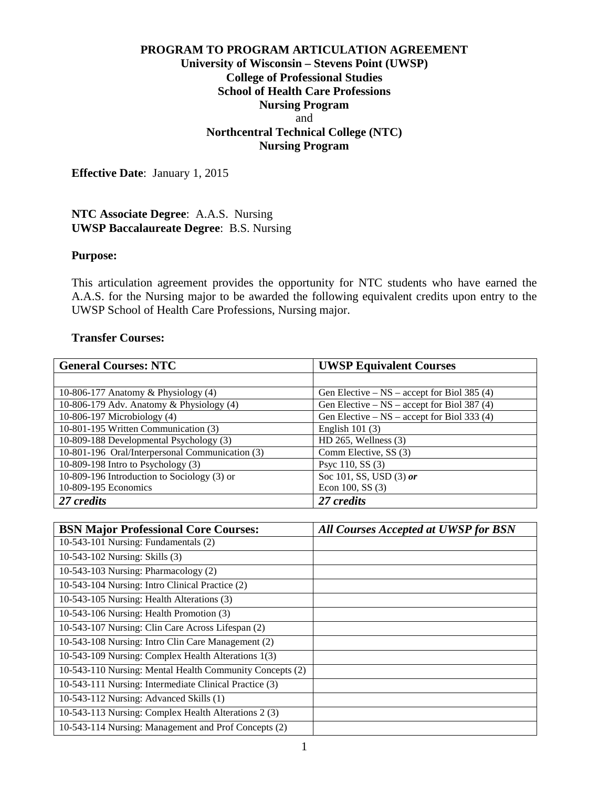## **PROGRAM TO PROGRAM ARTICULATION AGREEMENT University of Wisconsin – Stevens Point (UWSP) College of Professional Studies School of Health Care Professions Nursing Program** and **Northcentral Technical College (NTC) Nursing Program**

**Effective Date**: January 1, 2015

## **NTC Associate Degree**: A.A.S. Nursing **UWSP Baccalaureate Degree**: B.S. Nursing

#### **Purpose:**

This articulation agreement provides the opportunity for NTC students who have earned the A.A.S. for the Nursing major to be awarded the following equivalent credits upon entry to the UWSP School of Health Care Professions, Nursing major.

#### **Transfer Courses:**

| <b>General Courses: NTC</b>                     | <b>UWSP Equivalent Courses</b>                  |
|-------------------------------------------------|-------------------------------------------------|
|                                                 |                                                 |
| 10-806-177 Anatomy $\&$ Physiology (4)          | Gen Elective – $NS$ – accept for Biol 385 (4)   |
| 10-806-179 Adv. Anatomy & Physiology (4)        | Gen Elective $-$ NS $-$ accept for Biol 387 (4) |
| 10-806-197 Microbiology (4)                     | Gen Elective $-$ NS $-$ accept for Biol 333 (4) |
| 10-801-195 Written Communication (3)            | English $101(3)$                                |
| 10-809-188 Developmental Psychology (3)         | $HD 265$ , Wellness $(3)$                       |
| 10-801-196 Oral/Interpersonal Communication (3) | Comm Elective, SS (3)                           |
| 10-809-198 Intro to Psychology $(3)$            | Psyc 110, SS (3)                                |
| 10-809-196 Introduction to Sociology (3) or     | Soc 101, SS, USD (3) or                         |
| 10-809-195 Economics                            | Econ $100$ , SS $(3)$                           |
| 27 credits                                      | 27 credits                                      |

| <b>BSN Major Professional Core Courses:</b>              | <b>All Courses Accepted at UWSP for BSN</b> |
|----------------------------------------------------------|---------------------------------------------|
| 10-543-101 Nursing: Fundamentals (2)                     |                                             |
| 10-543-102 Nursing: Skills (3)                           |                                             |
| 10-543-103 Nursing: Pharmacology (2)                     |                                             |
| 10-543-104 Nursing: Intro Clinical Practice (2)          |                                             |
| 10-543-105 Nursing: Health Alterations (3)               |                                             |
| 10-543-106 Nursing: Health Promotion (3)                 |                                             |
| 10-543-107 Nursing: Clin Care Across Lifespan (2)        |                                             |
| 10-543-108 Nursing: Intro Clin Care Management (2)       |                                             |
| 10-543-109 Nursing: Complex Health Alterations 1(3)      |                                             |
| 10-543-110 Nursing: Mental Health Community Concepts (2) |                                             |
| 10-543-111 Nursing: Intermediate Clinical Practice (3)   |                                             |
| 10-543-112 Nursing: Advanced Skills (1)                  |                                             |
| 10-543-113 Nursing: Complex Health Alterations 2 (3)     |                                             |
| 10-543-114 Nursing: Management and Prof Concepts (2)     |                                             |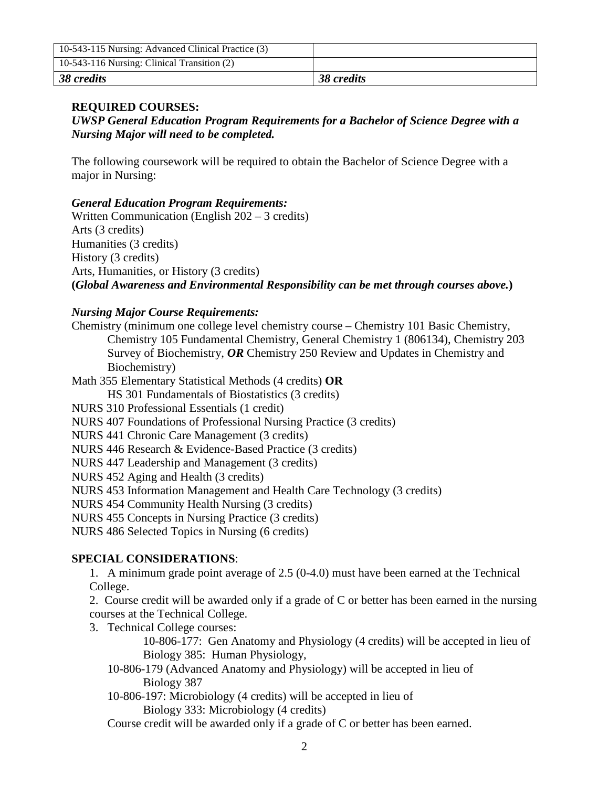| 10-543-115 Nursing: Advanced Clinical Practice (3) |            |
|----------------------------------------------------|------------|
| 10-543-116 Nursing: Clinical Transition (2)        |            |
| 38 credits                                         | 38 credits |

# **REQUIRED COURSES:**

*UWSP General Education Program Requirements for a Bachelor of Science Degree with a Nursing Major will need to be completed.*

The following coursework will be required to obtain the Bachelor of Science Degree with a major in Nursing:

*General Education Program Requirements:*

Written Communication (English 202 – 3 credits) Arts (3 credits) Humanities (3 credits) History (3 credits) Arts, Humanities, or History (3 credits) **(***Global Awareness and Environmental Responsibility can be met through courses above.***)**

# *Nursing Major Course Requirements:*

Chemistry (minimum one college level chemistry course – Chemistry 101 Basic Chemistry, Chemistry 105 Fundamental Chemistry, General Chemistry 1 (806134), Chemistry 203 Survey of Biochemistry, *OR* Chemistry 250 Review and Updates in Chemistry and Biochemistry)

Math 355 Elementary Statistical Methods (4 credits) **OR** 

HS 301 Fundamentals of Biostatistics (3 credits)

NURS 310 Professional Essentials (1 credit)

NURS 407 Foundations of Professional Nursing Practice (3 credits)

NURS 441 Chronic Care Management (3 credits)

NURS 446 Research & Evidence-Based Practice (3 credits)

NURS 447 Leadership and Management (3 credits)

NURS 452 Aging and Health (3 credits)

NURS 453 Information Management and Health Care Technology (3 credits)

NURS 454 Community Health Nursing (3 credits)

NURS 455 Concepts in Nursing Practice (3 credits)

NURS 486 Selected Topics in Nursing (6 credits)

# **SPECIAL CONSIDERATIONS**:

1. A minimum grade point average of 2.5 (0-4.0) must have been earned at the Technical College.

2. Course credit will be awarded only if a grade of C or better has been earned in the nursing courses at the Technical College.

3. Technical College courses:

10-806-177: Gen Anatomy and Physiology (4 credits) will be accepted in lieu of Biology 385: Human Physiology,

10-806-179 (Advanced Anatomy and Physiology) will be accepted in lieu of Biology 387

10-806-197: Microbiology (4 credits) will be accepted in lieu of

Biology 333: Microbiology (4 credits)

Course credit will be awarded only if a grade of C or better has been earned.